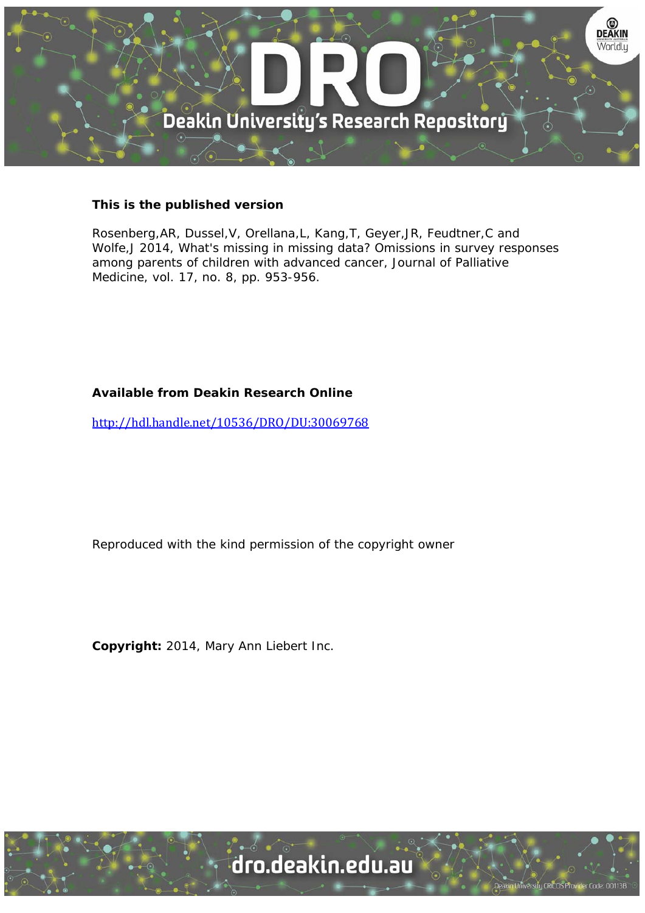

# **This is the published version**

Rosenberg,AR, Dussel,V, Orellana,L, Kang,T, Geyer,JR, Feudtner,C and Wolfe,J 2014, What's missing in missing data? Omissions in survey responses among parents of children with advanced cancer, Journal of Palliative Medicine, vol. 17, no. 8, pp. 953-956.

# **Available from Deakin Research Online**

http://hdl.handle.net/10536/DRO/DU:30069768

Reproduced with the kind permission of the copyright owner

**Copyright:** 2014, Mary Ann Liebert Inc.

University CRICOS Provider Code: 00113B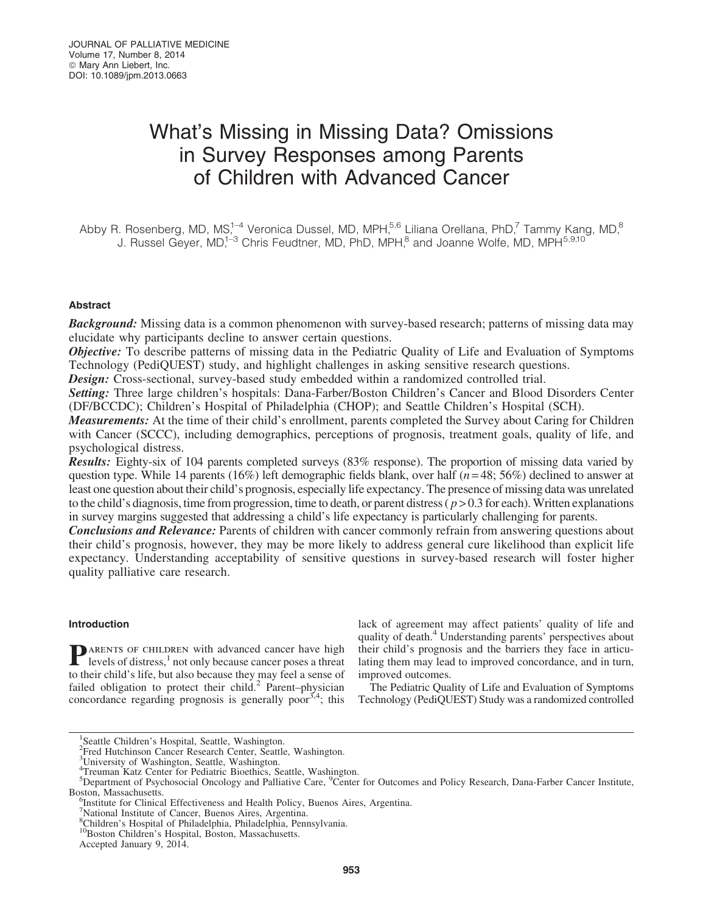# What's Missing in Missing Data? Omissions in Survey Responses among Parents of Children with Advanced Cancer

Abby R. Rosenberg, MD, MS,<sup>1-4</sup> Veronica Dussel, MD, MPH,<sup>5,6</sup> Liliana Orellana, PhD,<sup>7</sup> Tammy Kang, MD,<sup>8</sup> J. Russel Gever, MD,<sup>1–3</sup> Chris Feudtner, MD, PhD, MPH,<sup>8</sup> and Joanne Wolfe, MD, MPH<sup>5,9,10</sup>

# Abstract

**Background:** Missing data is a common phenomenon with survey-based research; patterns of missing data may elucidate why participants decline to answer certain questions.

**Objective:** To describe patterns of missing data in the Pediatric Quality of Life and Evaluation of Symptoms Technology (PediQUEST) study, and highlight challenges in asking sensitive research questions.

Design: Cross-sectional, survey-based study embedded within a randomized controlled trial.

Setting: Three large children's hospitals: Dana-Farber/Boston Children's Cancer and Blood Disorders Center (DF/BCCDC); Children's Hospital of Philadelphia (CHOP); and Seattle Children's Hospital (SCH).

**Measurements:** At the time of their child's enrollment, parents completed the Survey about Caring for Children with Cancer (SCCC), including demographics, perceptions of prognosis, treatment goals, quality of life, and psychological distress.

Results: Eighty-six of 104 parents completed surveys (83% response). The proportion of missing data varied by question type. While 14 parents (16%) left demographic fields blank, over half (*n* = 48; 56%) declined to answer at least one question about their child's prognosis, especially life expectancy. The presence of missing data was unrelated to the child's diagnosis, time from progression, time to death, or parent distress ( *p* > 0.3 for each). Written explanations in survey margins suggested that addressing a child's life expectancy is particularly challenging for parents.

**Conclusions and Relevance:** Parents of children with cancer commonly refrain from answering questions about their child's prognosis, however, they may be more likely to address general cure likelihood than explicit life expectancy. Understanding acceptability of sensitive questions in survey-based research will foster higher quality palliative care research.

## Introduction

**P**ARENTS OF CHILDREN with advanced cancer have high levels of distress,<sup>1</sup> not only because cancer poses a threat to their child's life, but also because they may feel a sense of failed obligation to protect their child.<sup>2</sup> Parent–physician concordance regarding prognosis is generally poor<sup>3,4</sup>; this lack of agreement may affect patients' quality of life and quality of death.<sup>4</sup> Understanding parents' perspectives about their child's prognosis and the barriers they face in articulating them may lead to improved concordance, and in turn, improved outcomes.

The Pediatric Quality of Life and Evaluation of Symptoms Technology (PediQUEST) Study was a randomized controlled

<sup>&</sup>lt;sup>1</sup>Seattle Children's Hospital, Seattle, Washington.

<sup>&</sup>lt;sup>2</sup>Fred Hutchinson Cancer Research Center, Seattle, Washington.

<sup>&</sup>lt;sup>3</sup>University of Washington, Seattle, Washington.

<sup>4</sup> Treuman Katz Center for Pediatric Bioethics, Seattle, Washington.

<sup>&</sup>lt;sup>5</sup>Department of Psychosocial Oncology and Palliative Care, <sup>9</sup>Center for Outcomes and Policy Research, Dana-Farber Cancer Institute, Boston, Massachusetts. <sup>6</sup>

Institute for Clinical Effectiveness and Health Policy, Buenos Aires, Argentina.

<sup>7</sup> National Institute of Cancer, Buenos Aires, Argentina.

<sup>8</sup> Children's Hospital of Philadelphia, Philadelphia, Pennsylvania. 10Boston Children's Hospital, Boston, Massachusetts.

Accepted January 9, 2014.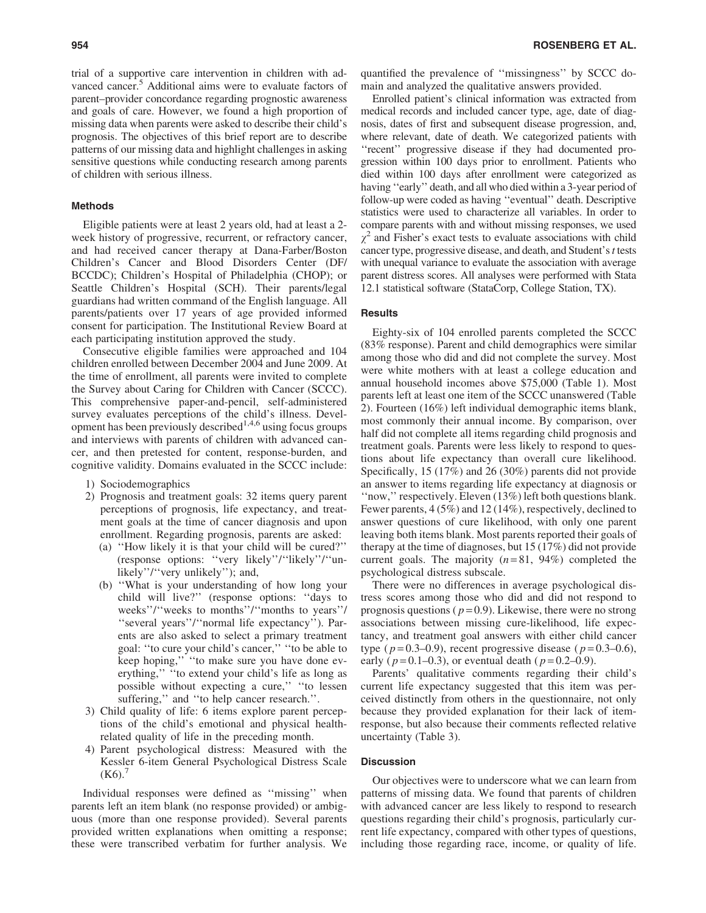trial of a supportive care intervention in children with advanced cancer.<sup>5</sup> Additional aims were to evaluate factors of parent–provider concordance regarding prognostic awareness and goals of care. However, we found a high proportion of missing data when parents were asked to describe their child's prognosis. The objectives of this brief report are to describe patterns of our missing data and highlight challenges in asking sensitive questions while conducting research among parents of children with serious illness.

#### Methods

Eligible patients were at least 2 years old, had at least a 2 week history of progressive, recurrent, or refractory cancer, and had received cancer therapy at Dana-Farber/Boston Children's Cancer and Blood Disorders Center (DF/ BCCDC); Children's Hospital of Philadelphia (CHOP); or Seattle Children's Hospital (SCH). Their parents/legal guardians had written command of the English language. All parents/patients over 17 years of age provided informed consent for participation. The Institutional Review Board at each participating institution approved the study.

Consecutive eligible families were approached and 104 children enrolled between December 2004 and June 2009. At the time of enrollment, all parents were invited to complete the Survey about Caring for Children with Cancer (SCCC). This comprehensive paper-and-pencil, self-administered survey evaluates perceptions of the child's illness. Development has been previously described<sup>1,4,6</sup> using focus groups and interviews with parents of children with advanced cancer, and then pretested for content, response-burden, and cognitive validity. Domains evaluated in the SCCC include:

- 1) Sociodemographics
- 2) Prognosis and treatment goals: 32 items query parent perceptions of prognosis, life expectancy, and treatment goals at the time of cancer diagnosis and upon enrollment. Regarding prognosis, parents are asked:
	- (a) ''How likely it is that your child will be cured?'' (response options: ''very likely''/''likely''/''unlikely''/''very unlikely''); and,
	- (b) ''What is your understanding of how long your child will live?'' (response options: ''days to weeks''/''weeks to months''/''months to years''/ ''several years''/''normal life expectancy''). Parents are also asked to select a primary treatment goal: ''to cure your child's cancer,'' ''to be able to keep hoping,'' ''to make sure you have done everything,'' ''to extend your child's life as long as possible without expecting a cure,'' ''to lessen suffering," and "to help cancer research.".
- 3) Child quality of life: 6 items explore parent perceptions of the child's emotional and physical healthrelated quality of life in the preceding month.
- 4) Parent psychological distress: Measured with the Kessler 6-item General Psychological Distress Scale  $(K6).$

Individual responses were defined as ''missing'' when parents left an item blank (no response provided) or ambiguous (more than one response provided). Several parents provided written explanations when omitting a response; these were transcribed verbatim for further analysis. We quantified the prevalence of ''missingness'' by SCCC domain and analyzed the qualitative answers provided.

Enrolled patient's clinical information was extracted from medical records and included cancer type, age, date of diagnosis, dates of first and subsequent disease progression, and, where relevant, date of death. We categorized patients with ''recent'' progressive disease if they had documented progression within 100 days prior to enrollment. Patients who died within 100 days after enrollment were categorized as having "early" death, and all who died within a 3-year period of follow-up were coded as having ''eventual'' death. Descriptive statistics were used to characterize all variables. In order to compare parents with and without missing responses, we used  $\chi^2$  and Fisher's exact tests to evaluate associations with child cancer type, progressive disease, and death, and Student's*t* tests with unequal variance to evaluate the association with average parent distress scores. All analyses were performed with Stata 12.1 statistical software (StataCorp, College Station, TX).

## **Results**

Eighty-six of 104 enrolled parents completed the SCCC (83% response). Parent and child demographics were similar among those who did and did not complete the survey. Most were white mothers with at least a college education and annual household incomes above \$75,000 (Table 1). Most parents left at least one item of the SCCC unanswered (Table 2). Fourteen (16%) left individual demographic items blank, most commonly their annual income. By comparison, over half did not complete all items regarding child prognosis and treatment goals. Parents were less likely to respond to questions about life expectancy than overall cure likelihood. Specifically, 15 (17%) and 26 (30%) parents did not provide an answer to items regarding life expectancy at diagnosis or ''now,'' respectively. Eleven (13%) left both questions blank. Fewer parents, 4 (5%) and 12 (14%), respectively, declined to answer questions of cure likelihood, with only one parent leaving both items blank. Most parents reported their goals of therapy at the time of diagnoses, but 15 (17%) did not provide current goals. The majority  $(n=81, 94\%)$  completed the psychological distress subscale.

There were no differences in average psychological distress scores among those who did and did not respond to prognosis questions ( $p=0.9$ ). Likewise, there were no strong associations between missing cure-likelihood, life expectancy, and treatment goal answers with either child cancer type ( $p=0.3-0.9$ ), recent progressive disease ( $p=0.3-0.6$ ), early ( $p = 0.1 - 0.3$ ), or eventual death ( $p = 0.2 - 0.9$ ).

Parents' qualitative comments regarding their child's current life expectancy suggested that this item was perceived distinctly from others in the questionnaire, not only because they provided explanation for their lack of itemresponse, but also because their comments reflected relative uncertainty (Table 3).

## **Discussion**

Our objectives were to underscore what we can learn from patterns of missing data. We found that parents of children with advanced cancer are less likely to respond to research questions regarding their child's prognosis, particularly current life expectancy, compared with other types of questions, including those regarding race, income, or quality of life.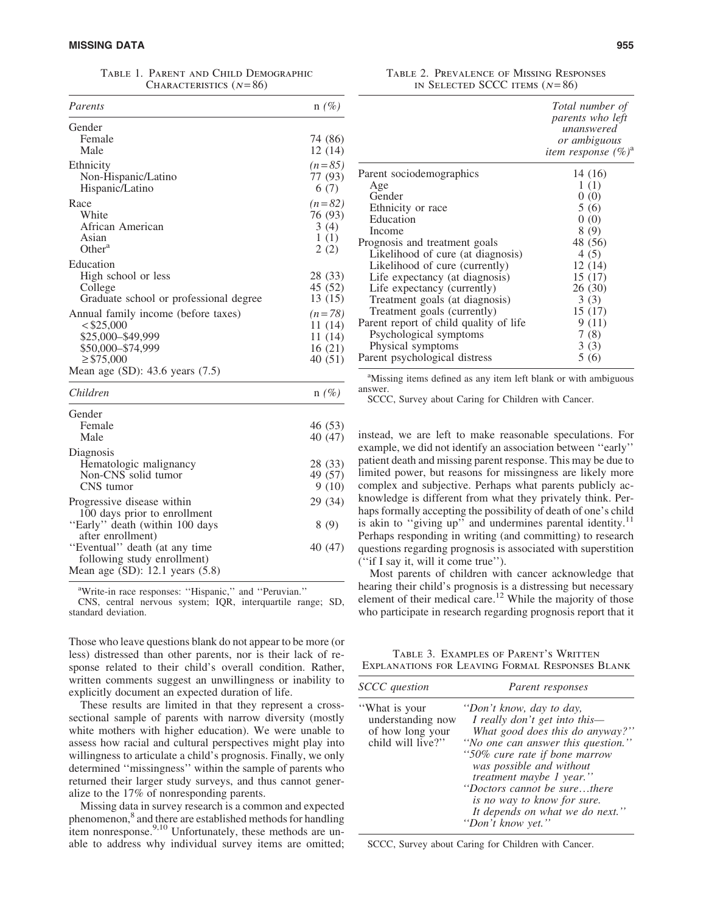Table 1. Parent and Child Demographic CHARACTERISTICS  $(N = 86)$ 

| Parents                                | $n(\%)$  |
|----------------------------------------|----------|
| Gender                                 |          |
| Female                                 | 74 (86)  |
| Male                                   | 12(14)   |
| Ethnicity                              | $(n=85)$ |
| Non-Hispanic/Latino                    | 77 (93)  |
| Hispanic/Latino                        | 6 (7)    |
| Race                                   | $(n=82)$ |
| White                                  | 76 (93)  |
| African American                       | 3(4)     |
| Asian                                  | 1(1)     |
| Other <sup>a</sup>                     | 2(2)     |
| Education                              |          |
| High school or less                    | 28 (33)  |
| College                                | 45 (52)  |
| Graduate school or professional degree | 13 (15)  |
| Annual family income (before taxes)    | $(n=78)$ |
| < \$25,000                             | 11 (14)  |
| \$25,000-\$49,999                      | 11 (14)  |
| \$50,000-\$74,999                      | 16(21)   |
| $\geq$ \$75,000                        | 40 (51)  |
| Mean age $(SD)$ : 43.6 years $(7.5)$   |          |

| Children                             | $n(\%)$ |
|--------------------------------------|---------|
| Gender                               |         |
| Female                               | 46(53)  |
| Male                                 | 40 (47) |
| Diagnosis                            |         |
| Hematologic malignancy               | 28 (33) |
| Non-CNS solid tumor                  | 49 (57) |
| CNS tumor                            | 9(10)   |
| Progressive disease within           | 29 (34) |
| 100 days prior to enrollment         |         |
| "Early" death (within 100 days       | 8(9)    |
| after enrollment)                    |         |
| "Eventual" death (at any time        | 40 (47) |
| following study enrollment)          |         |
| Mean age $(SD)$ : 12.1 years $(5.8)$ |         |

<sup>a</sup>Write-in race responses: "Hispanic," and "Peruvian." CNS, central nervous system; IQR, interquartile range; SD,

standard deviation.

Those who leave questions blank do not appear to be more (or less) distressed than other parents, nor is their lack of response related to their child's overall condition. Rather, written comments suggest an unwillingness or inability to explicitly document an expected duration of life.

These results are limited in that they represent a crosssectional sample of parents with narrow diversity (mostly white mothers with higher education). We were unable to assess how racial and cultural perspectives might play into willingness to articulate a child's prognosis. Finally, we only determined ''missingness'' within the sample of parents who returned their larger study surveys, and thus cannot generalize to the 17% of nonresponding parents.

Missing data in survey research is a common and expected phenomenon,<sup>8</sup> and there are established methods for handling item nonresponse.<sup>9,10</sup> Unfortunately, these methods are unable to address why individual survey items are omitted;

Table 2. Prevalence of Missing Responses IN SELECTED SCCC ITEMS  $(N=86)$ 

| Total number of<br><i>parents who left</i><br>unanswered<br>or ambiguous<br>item response $(\%)^a$ |
|----------------------------------------------------------------------------------------------------|
| 14 (16)                                                                                            |
| 1(1)                                                                                               |
| 0(0)                                                                                               |
| 5(6)                                                                                               |
| 0(0)                                                                                               |
| 8(9)                                                                                               |
| 48 (56)                                                                                            |
| 4(5)                                                                                               |
| 12(14)                                                                                             |
| 15 (17)                                                                                            |
| 26 (30)                                                                                            |
| 3(3)                                                                                               |
| 15 (17)                                                                                            |
| 9 (11)                                                                                             |
| 7(8)                                                                                               |
| 3(3)                                                                                               |
| 5(6)                                                                                               |
|                                                                                                    |

<sup>a</sup>Missing items defined as any item left blank or with ambiguous answer.

SCCC, Survey about Caring for Children with Cancer.

instead, we are left to make reasonable speculations. For example, we did not identify an association between ''early'' patient death and missing parent response. This may be due to limited power, but reasons for missingness are likely more complex and subjective. Perhaps what parents publicly acknowledge is different from what they privately think. Perhaps formally accepting the possibility of death of one's child is akin to "giving up" and undermines parental identity.<sup>11</sup> Perhaps responding in writing (and committing) to research questions regarding prognosis is associated with superstition (''if I say it, will it come true'').

Most parents of children with cancer acknowledge that hearing their child's prognosis is a distressing but necessary element of their medical care.<sup>12</sup> While the majority of those who participate in research regarding prognosis report that it

Table 3. Examples of Parent's Written Explanations for Leaving Formal Responses Blank

| <b>SCCC</b> question                                                        | Parent responses                                                                                                                                                                                                                                                                                                                                            |
|-----------------------------------------------------------------------------|-------------------------------------------------------------------------------------------------------------------------------------------------------------------------------------------------------------------------------------------------------------------------------------------------------------------------------------------------------------|
| "What is your<br>understanding now<br>of how long your<br>child will live?" | "Don't know, day to day,<br>I really don't get into this-<br>What good does this do anyway?"<br>"No one can answer this question."<br>"50% cure rate if bone marrow<br>was possible and without<br><i>treatment maybe 1 year.</i> "<br>"Doctors cannot be surethere"<br>is no way to know for sure.<br>It depends on what we do next."<br>"Don't know yet." |

SCCC, Survey about Caring for Children with Cancer.